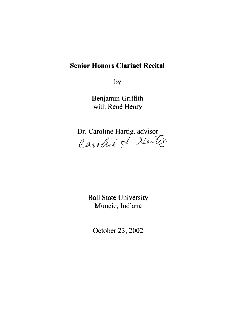## **Senior Honors Clarinet Recital**

by

Benjamin Griffith with René Henry

Dr. Caroline Hartig, advisor Caroline & Harty

Ball State University Muncie, Indiana

October 23,2002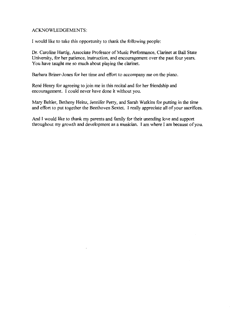#### ACKNOWLEDGEMENTS:

I would like to take this opportunity to thank the following people:

Dr. Caroline Hartig, Associate Professor of Music Performance, Clarinet at Ball State University, for her patience, instruction, and encouragement over the past four years. You have taught me so much about playing the clarinet.

Barbara Briner-lones for her time and effort to accompany me on the piano.

Rene Henry for agreeing to join me in this recital and for her friendship and encouragement. I could never have done it without you.

Mary Behler, Betheny Heinz, lennifer Perry, and Sarah Watkins for putting in the time and effort to put together the Beethoven Sextet. I really appreciate all of your sacrifices.

And I would like to thank my parents and family for their unending love and support throughout my growth and development as a musician. I am where I am because of you.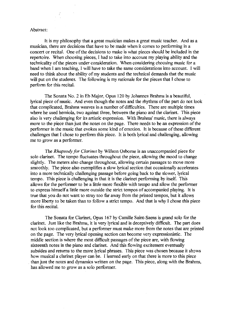#### Abstract:

It is my philosophy that a great musician makes a great music teacher. And as a musician, there are decisions that have to be made when it comes to performing in a concert or recital. One of the decisions to make is what pieces should be included in the repertoire. When choosing pieces, I had to take into account my playing ability and the technicality of the pieces under consideration. When considering choosing music for a band when I am teaching, I will have to take the same considerations into account. I will need to think about the ability of my students and the technical demands that the music will put on the students. The following is my rationale for the pieces that I chose to perform for this recital.

The Sonata No.2 in Eb Major, Opus 120 by Johannes Brahms is a beautiful, lyrical piece of music. And even though the notes and the rhythms of the part do not look that complicated, Brahms weaves in a number of difficulties. There are multiple times where he used hemiola, two against three, between the piano and the clarinet. This piece also is very challenging for its artistic expression. With Brahms' music, there is always more to the piece than just the notes on the page. There needs to be an expression of the performer in the music that evokes some kind of emotion. It is because of these different challenges that I chose to perform this piece. It is both lyrical and challenging, allowing me to grow as a performer.

The *Rhapsody for Clarinet* by Willson Osborne is an unaccompanied piece for solo clarinet. The tempo fluctuates throughout the piece, allowing the mood to change slightly. The meters also change throughout, allowing certain passages to move more smoothly. The piece also exemplifies a slow lyrical section that occasionally accelerates into a more technically challenging passage before going back to the slower, lyrical tempo. This piece is challenging in that it is the clarinet performing by itself. This allows for the performer to be a little more flexible with tempo and allow the performer to express himself a little more outside the strict tempos of accompanied playing. It is true that you do not want to stray too far away from the printed tempos, but it allows more liberty to be taken than to follow a strict tempo. And that is why I chose this piece for this recital.

The Sonata for Clarinet, Opus 167 by Camille Saint-Saens is grand solo for the clarinet. Just like the Brahms, it is very lyrical and is deceptively difficult. The part does not look too complicated, but a performer must make more from the notes that are printed on the page. The very lyrical opening section can become very expressionistic. The middle section is where the most difficult passages of the piece are, with flowing sixteenth notes in the piano and clarinet. And this flowing excitement eventually subsides and returns to the more lyrical phrases. This piece was chosen because it *shaws*  how musical a clarinet player can be. I learned early on that there is more to this piece . than just the notes and dynamics written on the page. This piece, along with the Brahms, has allowed me to grow as a solo performer.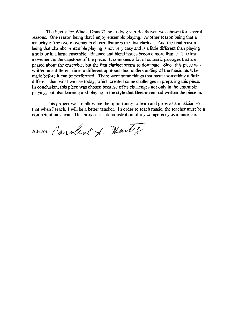The Sextet for Winds, Opus 71 by Ludwig van Beethoven was chosen for several reasons. One reason being that I enjoy ensemble playing. Another reason being that a majority of the two movements chosen features the first clarinet. And the final reason being that chamber ensemble playing is not very easy and is a little different than playing a solo or in a large ensemble. Balance and blend issues become more fragile. The last movement is the capstone of the piece. It combines a lot of soloistic passages that are passed about the ensemble, but the first clarinet seems to dominate. Since this piece was written in a different time, a different approach and understanding of the music must be made before it can be performed. There were some things that meant something a little different than what we use today, which created some challenges in preparing this piece. In conclusion, this piece was chosen because of its challenges not only in the ensemble playing, but also learning and playing in the style that Beethoven had written the piece in.

This project was to allow me the opportunity to learn and grow as a musician so that when I teach, I will be a better teacher. In order to teach music, the teacher must be a competent musician. This project is a demonstration of my competency as a musician.

Advisor: Caroline & Hartig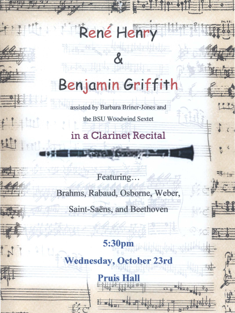# **Benjamin Griffith**

&

René Henry

**, 32 22 12 14** 

'" ¥1 **'ft.I'.** 

\*\*

£

~

 $f$ 

*-1* (-

**,..,.. . .** -.,

 $\omega$ 

 $#$  $-$ 

- Fill

海

 $-1$ 

 $\frac{\theta_{\text{c}}}{\pi}$ 

 $=$ 

 $+1$ 

•

 $\sharp$  :

uti

 $\frac{1}{2}$ 

assisted by Barbara Briner-Jones and

the BSU Woodwind Sextet

**in a Clarinet Recital** 

POPPE TO OK

Featuring...

Brahms, Rabaud, Osborne, Weber,

Saint-Saëns, and Beethoven

# **5:30pm**

**Wednesday, October 23rd** 

Pruis Hall

t 11 = 11 = 11 part 1 = 11 water ...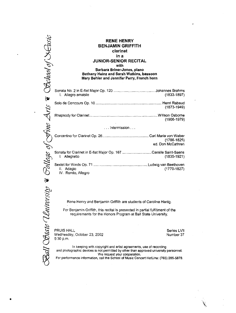|    | R<br><b>BEN.</b>                                                                      |
|----|---------------------------------------------------------------------------------------|
|    | <b>JUNIOR</b>                                                                         |
|    | Barbara<br>Bethany Heinz .<br>Mary Behler and                                         |
|    | Sonata No. 2 in E-flat Major Op. 1<br>I. Allegro amabile                              |
| ∛≫ | Solo de Concours Op. 10                                                               |
|    | Rhapsody for Clarinet                                                                 |
|    | Concertino for Clarinet Op. 26                                                        |
|    | Sonata for Clarinet in E-flat Major<br>I. Allegretto                                  |
|    | Sextet for Winds Op. 71<br>II. Adagio<br>IV. Rondo, Allegro                           |
| ∛₩ |                                                                                       |
|    | Rene Henry and Benjamir<br>For Benjamin Griffith, this re-<br>requirements for the Ho |
|    | <b>PRUIS HALL</b><br>Wednesday, October 23, 2002<br>5:30 p.m.                         |
|    | In keeping with copyright<br>and photographic devices is not per                      |

•

#### **RENE HENRY BENJAMIN GRIFFITH clarinet in a JUNIOR-SENIOR RECITAL with Barbara Briner-Jones, piano Bethany Heinz and Sarah Watkins, bassoon Mary Behler and Jennifer Perry, French horn**

|                                | I. Allegro amabile                                                               | $(1833 - 1897)$                      |  |
|--------------------------------|----------------------------------------------------------------------------------|--------------------------------------|--|
|                                |                                                                                  | $(1873 - 1949)$                      |  |
|                                |                                                                                  | $(1906 - 1979)$                      |  |
| $\ldots$ intermission $\ldots$ |                                                                                  |                                      |  |
|                                |                                                                                  | $(1786 - 1825)$<br>ed. Don McCathren |  |
|                                | Sonata for Clarinet in E-flat Major Op. 167 Camille Saint-Saens<br>I. Allegretto | $(1835 - 1921)$                      |  |
|                                | II. Adagio<br>IV. Rondo Allegro                                                  | $(1770 - 1827)$                      |  |

n Griffith are students of Caroline Hartig.

cital is presented in partial fulfillment of the mors Program at Ball State University.

> Series LVII Number 37

> > $\mathbf{v}$

**I** and artist agreements, use of recording **and photographic devices is not permitted by other than approved university personnel. We request your cooperation.** 

**For performance information, call the School of Music Concert Hotline: (765) 285·5878 .**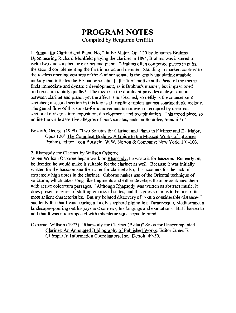### **PROGRAM NOTES**  Compiled by Benjamin Griffith

I. Sonata for Clarinet and Piano No.2 in Eb Major. Op. 120 by Johannes Brahms Upon hearing Richard Muhlfeld playing the clarinet in 1894, Brahms was inspired to write two duo sonatas for clarinet and piano. "Brahms often composed pieces in pairs, the second complementing the first in mood and manner. Standing in marked contrast to the restless opening gestures of the F-minor sonata is the gently undulating amabile melody that initiates the Eb-major sonata. [TJhe 'turn' motive at the head of the theme fmds immediate and dynamic development, as is Brahms's manner, but impassioned outbursts are rapidly quelled. The theme in the dominant provides a close cannon between clarinet and piano, yet the affect is not learned, so deftly is the counterpoint sketched; a second section in this key is all rippling triplets against soaring duple melody. The genial flow of this sonata-form movement is not even interrupted by clear-cut sectional divisions into exposition, development, and recapitulation. This mood piece, so unlike the virile assertive allegros of most sonatas, ends molto dolce, tranquillo."

Bozarth, George (1999). "Two Sonatas for Clarinet and Piano in F Minor and Eb Major, Opus 120" The Compleat Brahms: A Guide to the Musical Works of Johannes Brahms. editor Leon Butstein. W.W. Norton & Company: New York. 101-103.

#### 2. Rhapsody for Clarinet by Willson Osborne

When Willson Osborne began work on Rhapsody, he wrote it for bassoon. But early on, he decided he would make it suitable for the clarinet as well. Because it was initially written for the bassoon and then later for clarinet also, this accounts for the lack of extremely high notes in the clarinet. Osborne makes use of the Oriental technique of variation, which takes song-like fragments and either develops them or continues them with active coloratura passages. "Although Rhapsody was written as abstract music, it does present a series of shifting emotional states, and this goes so far as to be one of its most salient characteristics. But my belated discovery of it--at a considerable distance--I suddenly felt that I was hearing a lonely shepherd piping in a Turneresque, Mediterranean landscape--pouring out his joys and sorrows, his longings and exultations. But I hasten to add that it was not composed with this picturesque scene in mind."

Osborne, Willson (1973). "Rhapsody for Clarinet (B-flat)" Solos for Unaccompanied Clarinet: An Annotated Bibliography of Published Works. Editor James E. Gillespie Jr. Information Coordinators, Inc.: Detroit. 49-50.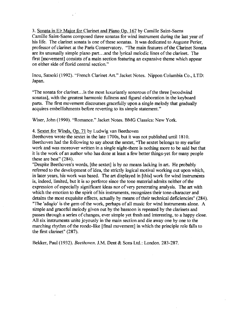3. Sonata in ED Major for Clarinet and Piano Op. 167 by Camille Saint-Saens Camille Saint-Saens composed three sonatas for wind instrument during the last year of his life. The clarinet sonata is one of these sonatas. It was dedicated to Auguste Perier, professor of clarinet at the Paris Conservatory. "The main features of the Clarinet Sonata are its unusually simple piano part...and the lyrical melodic lines of the clarinet. The first [movement] consists of a main section featuring an expansive theme which appear on either side of florid central section."

Inou, Satsoki (1992). "French Clarinet Art." Jacket Notes. Nippon Columbia Co., LTD: Japan.

"The sonata for clarinet ... is the most luxuriantly sonorous of the three [woodwind sonatas], with the greatest harmonic fullness and figural elaboration in the keyboard parts. The first movement discourses gracefully upon a single melody that gradually acquires embellishments before reverting to its simple statement."

Wiser, John (1990). "Romance." Jacket Notes. BMG Classics: New York.

#### 4. Sextet for Winds, Op. 71 by Ludwig van Beethoven

 $\chi^{(0)}$ 

Beethoven wrote the sextet in the late 1700s, but it was not published until 1810. Beethoven had the following to say about the sextet, "The sextet belongs to my earlier work and was moreover written in a single night-there is nothing more to be said but that it is the work of an author who has done at least a few better things-yet for many people these are best" (284).

"Despite Beethoven's words, [the sextet] is by no means lacking in art. He probably referred to the development of idea, the strictly logical motival working out upon which, in later years, his work was based. The art displayed in [this] work for wind instruments is, indeed, limited, but it is so perforce since the tone material admits neither of the expression of especially significant ideas nor of very penetrating analysis. The art with which the emotion to the spirit of his instruments, recognizes their tone-character and detains the most exquisite effects, actually by means of their technical deficiencies" (284). "The 'adagio' is the gem of the work, perhaps of all music for wind instruments alone. A simple and graceful melody given out by the bassoon is repeated by the clarinets and passes through a series of changes, ever simple yet fresh and interesting, to a happy close. All six instruments unite joyously in the main section and die away one by one to the marching rhythm of the rondo-like [final movement] in which the principle role falls to the first clarinet" (287).

 $\mathcal{L}$ 

Bekker, Paul (1932). *Beethoven.* J.M. Dent & Sons Ltd.: London. 283-287.